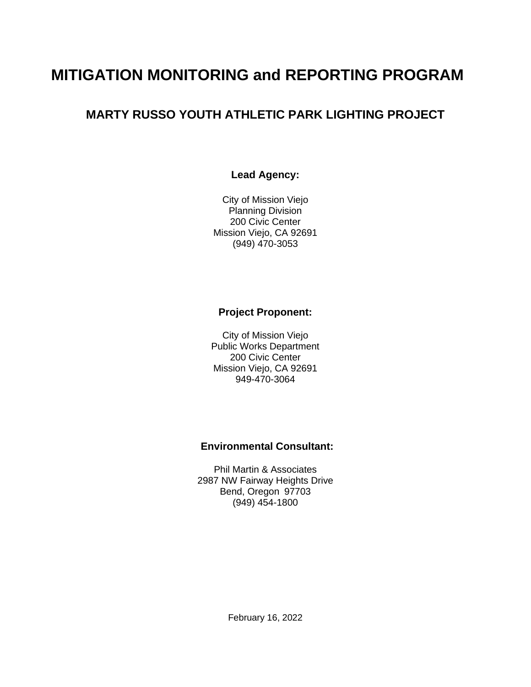# **MITIGATION MONITORING and REPORTING PROGRAM**

# **MARTY RUSSO YOUTH ATHLETIC PARK LIGHTING PROJECT**

### **Lead Agency:**

City of Mission Viejo Planning Division 200 Civic Center Mission Viejo, CA 92691 (949) 470-3053

#### **Project Proponent:**

City of Mission Viejo Public Works Department 200 Civic Center Mission Viejo, CA 92691 949-470-3064

# **Environmental Consultant:**

Phil Martin & Associates 2987 NW Fairway Heights Drive Bend, Oregon 97703 (949) 454-1800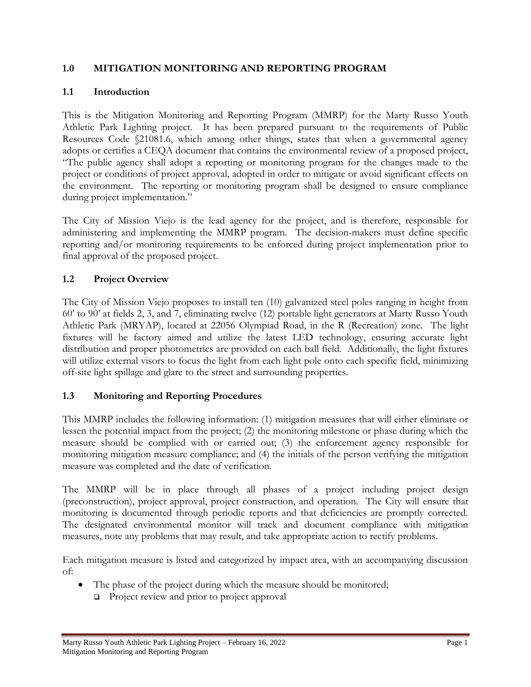### **1.0 MITIGATION MONITORING AND REPORTING PROGRAM**

## **1.1 Introduction**

This is the Mitigation Monitoring and Reporting Program (MMRP) for the Marty Russo Youth Athletic Park Lighting project. It has been prepared pursuant to the requirements of Public Resources Code §21081.6, which among other things, states that when a governmental agency adopts or certifies a CEQA document that contains the environmental review of a proposed project, "The public agency shall adopt a reporting or monitoring program for the changes made to the project or conditions of project approval, adopted in order to mitigate or avoid significant effects on the environment. The reporting or monitoring program shall be designed to ensure compliance during project implementation."

The City of Mission Viejo is the lead agency for the project, and is therefore, responsible for administering and implementing the MMRP program. The decision-makers must define specific reporting and/or monitoring requirements to be enforced during project implementation prior to final approval of the proposed project.

# **1.2 Project Overview**

The City of Mission Viejo proposes to install ten (10) galvanized steel poles ranging in height from 60' to 90' at fields 2, 3, and 7, eliminating twelve (12) portable light generators at Marty Russo Youth Athletic Park (MRYAP), located at 22056 Olympiad Road, in the R (Recreation) zone. The light fixtures will be factory aimed and utilize the latest LED technology, ensuring accurate light distribution and proper photometrics are provided on each ball field. Additionally, the light fixtures will utilize external visors to focus the light from each light pole onto each specific field, minimizing off-site light spillage and glare to the street and surrounding properties.

### **1.3 Monitoring and Reporting Procedures**

This MMRP includes the following information: (1) mitigation measures that will either eliminate or lessen the potential impact from the project; (2) the monitoring milestone or phase during which the measure should be complied with or carried out; (3) the enforcement agency responsible for monitoring mitigation measure compliance; and (4) the initials of the person verifying the mitigation measure was completed and the date of verification.

The MMRP will be in place through all phases of a project including project design (preconstruction), project approval, project construction, and operation. The City will ensure that monitoring is documented through periodic reports and that deficiencies are promptly corrected. The designated environmental monitor will track and document compliance with mitigation measures, note any problems that may result, and take appropriate action to rectify problems.

Each mitigation measure is listed and categorized by impact area, with an accompanying discussion of:

- The phase of the project during which the measure should be monitored;
	- ❑ Project review and prior to project approval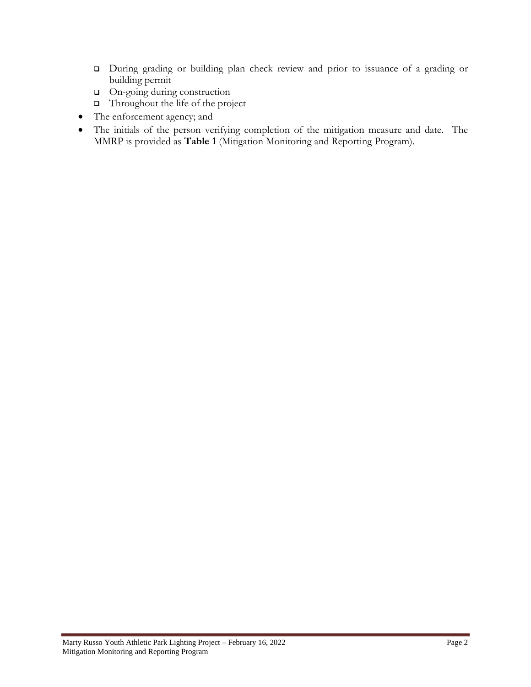- ❑ During grading or building plan check review and prior to issuance of a grading or building permit
- ❑ On-going during construction
- ❑ Throughout the life of the project
- The enforcement agency; and
- The initials of the person verifying completion of the mitigation measure and date. The MMRP is provided as **Table 1** (Mitigation Monitoring and Reporting Program).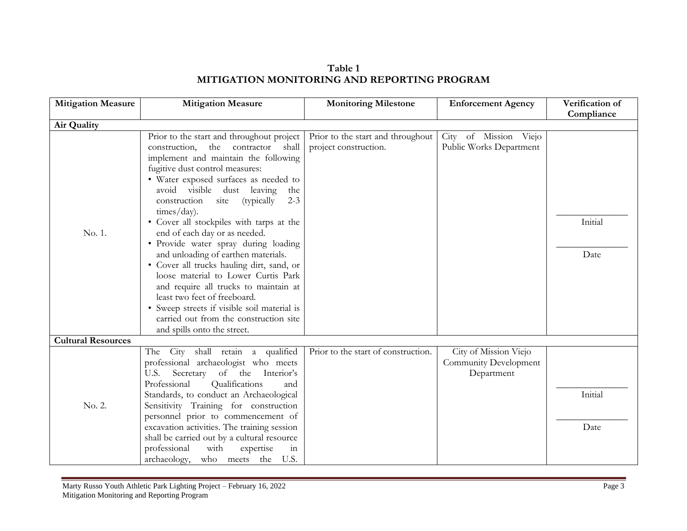**Table 1 MITIGATION MONITORING AND REPORTING PROGRAM**

| <b>Mitigation Measure</b> | <b>Mitigation Measure</b>                                                                                                                                                                                                                                                                                                                                                                                                                                                                                                                                                                                                                                                                                                           | <b>Monitoring Milestone</b>                                | <b>Enforcement Agency</b>                                    | Verification of |
|---------------------------|-------------------------------------------------------------------------------------------------------------------------------------------------------------------------------------------------------------------------------------------------------------------------------------------------------------------------------------------------------------------------------------------------------------------------------------------------------------------------------------------------------------------------------------------------------------------------------------------------------------------------------------------------------------------------------------------------------------------------------------|------------------------------------------------------------|--------------------------------------------------------------|-----------------|
| Air Quality               |                                                                                                                                                                                                                                                                                                                                                                                                                                                                                                                                                                                                                                                                                                                                     |                                                            |                                                              | Compliance      |
|                           |                                                                                                                                                                                                                                                                                                                                                                                                                                                                                                                                                                                                                                                                                                                                     |                                                            |                                                              |                 |
| No. 1.                    | Prior to the start and throughout project<br>the<br>contractor<br>construction,<br>shall<br>implement and maintain the following<br>fugitive dust control measures:<br>• Water exposed surfaces as needed to<br>avoid visible dust leaving<br>the<br>(typically<br>construction<br>$2 - 3$<br>site<br>times/day).<br>• Cover all stockpiles with tarps at the<br>end of each day or as needed.<br>· Provide water spray during loading<br>and unloading of earthen materials.<br>· Cover all trucks hauling dirt, sand, or<br>loose material to Lower Curtis Park<br>and require all trucks to maintain at<br>least two feet of freeboard.<br>• Sweep streets if visible soil material is<br>carried out from the construction site | Prior to the start and throughout<br>project construction. | City of Mission Viejo<br>Public Works Department             | Initial<br>Date |
|                           | and spills onto the street.                                                                                                                                                                                                                                                                                                                                                                                                                                                                                                                                                                                                                                                                                                         |                                                            |                                                              |                 |
| <b>Cultural Resources</b> |                                                                                                                                                                                                                                                                                                                                                                                                                                                                                                                                                                                                                                                                                                                                     |                                                            |                                                              |                 |
|                           | The City shall retain a qualified<br>professional archaeologist who meets<br>Secretary<br>of the<br>Interior's<br>U.S.<br>Qualifications<br>Professional<br>and                                                                                                                                                                                                                                                                                                                                                                                                                                                                                                                                                                     | Prior to the start of construction.                        | City of Mission Viejo<br>Community Development<br>Department |                 |
|                           | Standards, to conduct an Archaeological                                                                                                                                                                                                                                                                                                                                                                                                                                                                                                                                                                                                                                                                                             |                                                            |                                                              | Initial         |
| No. 2.                    | Sensitivity Training for construction                                                                                                                                                                                                                                                                                                                                                                                                                                                                                                                                                                                                                                                                                               |                                                            |                                                              |                 |
|                           | personnel prior to commencement of                                                                                                                                                                                                                                                                                                                                                                                                                                                                                                                                                                                                                                                                                                  |                                                            |                                                              |                 |
|                           | excavation activities. The training session                                                                                                                                                                                                                                                                                                                                                                                                                                                                                                                                                                                                                                                                                         |                                                            |                                                              | Date            |
|                           | shall be carried out by a cultural resource                                                                                                                                                                                                                                                                                                                                                                                                                                                                                                                                                                                                                                                                                         |                                                            |                                                              |                 |
|                           | professional<br>with<br>expertise<br>111                                                                                                                                                                                                                                                                                                                                                                                                                                                                                                                                                                                                                                                                                            |                                                            |                                                              |                 |
|                           | archaeology, who meets the U.S.                                                                                                                                                                                                                                                                                                                                                                                                                                                                                                                                                                                                                                                                                                     |                                                            |                                                              |                 |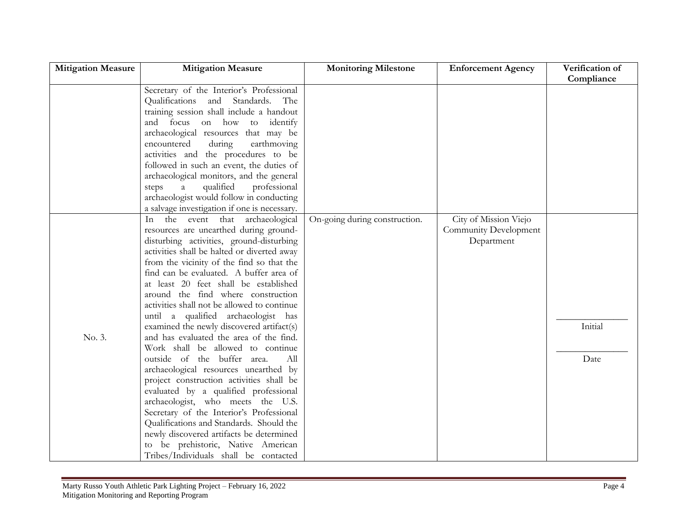| <b>Mitigation Measure</b> | <b>Mitigation Measure</b>                    | <b>Monitoring Milestone</b>   | <b>Enforcement Agency</b> | Verification of |
|---------------------------|----------------------------------------------|-------------------------------|---------------------------|-----------------|
|                           |                                              |                               |                           | Compliance      |
|                           | Secretary of the Interior's Professional     |                               |                           |                 |
|                           | Qualifications and Standards.<br>The         |                               |                           |                 |
|                           | training session shall include a handout     |                               |                           |                 |
|                           | and focus on how to identify                 |                               |                           |                 |
|                           | archaeological resources that may be         |                               |                           |                 |
|                           | encountered<br>during<br>earthmoving         |                               |                           |                 |
|                           | activities and the procedures to be          |                               |                           |                 |
|                           | followed in such an event, the duties of     |                               |                           |                 |
|                           | archaeological monitors, and the general     |                               |                           |                 |
|                           | qualified<br>professional<br>steps<br>a      |                               |                           |                 |
|                           | archaeologist would follow in conducting     |                               |                           |                 |
|                           | a salvage investigation if one is necessary. |                               |                           |                 |
|                           | the event that archaeological<br>In          | On-going during construction. | City of Mission Viejo     |                 |
|                           | resources are unearthed during ground-       |                               | Community Development     |                 |
|                           | disturbing activities, ground-disturbing     |                               | Department                |                 |
|                           | activities shall be halted or diverted away  |                               |                           |                 |
|                           | from the vicinity of the find so that the    |                               |                           |                 |
|                           | find can be evaluated. A buffer area of      |                               |                           |                 |
|                           | at least 20 feet shall be established        |                               |                           |                 |
|                           | around the find where construction           |                               |                           |                 |
|                           | activities shall not be allowed to continue  |                               |                           |                 |
|                           | until a qualified archaeologist has          |                               |                           |                 |
|                           | examined the newly discovered artifact(s)    |                               |                           | Initial         |
| No. 3.                    | and has evaluated the area of the find.      |                               |                           |                 |
|                           | Work shall be allowed to continue            |                               |                           |                 |
|                           | outside of the buffer area.<br>All           |                               |                           | Date            |
|                           | archaeological resources unearthed by        |                               |                           |                 |
|                           | project construction activities shall be     |                               |                           |                 |
|                           | evaluated by a qualified professional        |                               |                           |                 |
|                           | archaeologist, who meets the U.S.            |                               |                           |                 |
|                           | Secretary of the Interior's Professional     |                               |                           |                 |
|                           | Qualifications and Standards. Should the     |                               |                           |                 |
|                           | newly discovered artifacts be determined     |                               |                           |                 |
|                           | to be prehistoric, Native American           |                               |                           |                 |
|                           | Tribes/Individuals shall be contacted        |                               |                           |                 |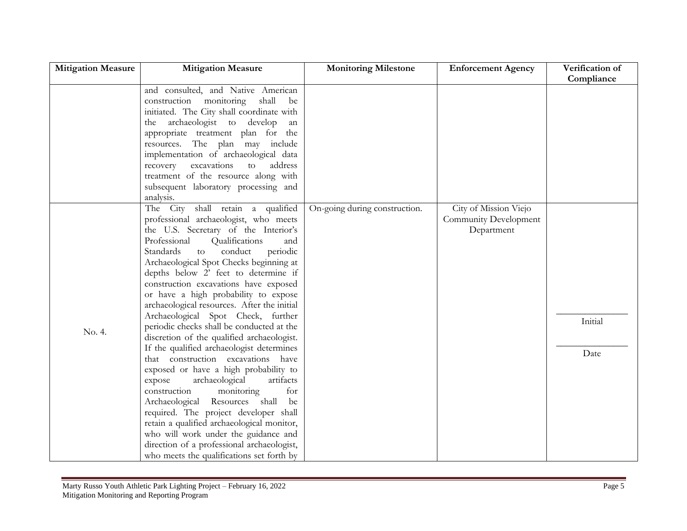| <b>Mitigation Measure</b> | <b>Mitigation Measure</b>                   | <b>Monitoring Milestone</b>   | <b>Enforcement Agency</b> | Verification of |
|---------------------------|---------------------------------------------|-------------------------------|---------------------------|-----------------|
|                           |                                             |                               |                           | Compliance      |
|                           | and consulted, and Native American          |                               |                           |                 |
|                           | construction monitoring<br>shall<br>be      |                               |                           |                 |
|                           | initiated. The City shall coordinate with   |                               |                           |                 |
|                           | the archaeologist to develop<br>an          |                               |                           |                 |
|                           | appropriate treatment plan for the          |                               |                           |                 |
|                           | resources. The plan may include             |                               |                           |                 |
|                           | implementation of archaeological data       |                               |                           |                 |
|                           | address<br>recovery<br>excavations<br>to    |                               |                           |                 |
|                           | treatment of the resource along with        |                               |                           |                 |
|                           | subsequent laboratory processing and        |                               |                           |                 |
|                           | analysis.                                   |                               |                           |                 |
|                           | The City shall retain a qualified           | On-going during construction. | City of Mission Viejo     |                 |
|                           | professional archaeologist, who meets       |                               | Community Development     |                 |
|                           | the U.S. Secretary of the Interior's        |                               | Department                |                 |
|                           | Professional<br>Qualifications<br>and       |                               |                           |                 |
|                           | conduct<br>Standards<br>periodic<br>to      |                               |                           |                 |
|                           | Archaeological Spot Checks beginning at     |                               |                           |                 |
|                           | depths below 2' feet to determine if        |                               |                           |                 |
|                           | construction excavations have exposed       |                               |                           |                 |
|                           | or have a high probability to expose        |                               |                           |                 |
|                           | archaeological resources. After the initial |                               |                           |                 |
|                           | Archaeological Spot Check, further          |                               |                           | Initial         |
| No. 4.                    | periodic checks shall be conducted at the   |                               |                           |                 |
|                           | discretion of the qualified archaeologist.  |                               |                           |                 |
|                           | If the qualified archaeologist determines   |                               |                           | Date            |
|                           | that construction excavations have          |                               |                           |                 |
|                           | exposed or have a high probability to       |                               |                           |                 |
|                           | archaeological<br>artifacts<br>expose       |                               |                           |                 |
|                           | construction<br>monitoring<br>for           |                               |                           |                 |
|                           | Archaeological Resources shall<br>be        |                               |                           |                 |
|                           | required. The project developer shall       |                               |                           |                 |
|                           | retain a qualified archaeological monitor,  |                               |                           |                 |
|                           | who will work under the guidance and        |                               |                           |                 |
|                           | direction of a professional archaeologist,  |                               |                           |                 |
|                           | who meets the qualifications set forth by   |                               |                           |                 |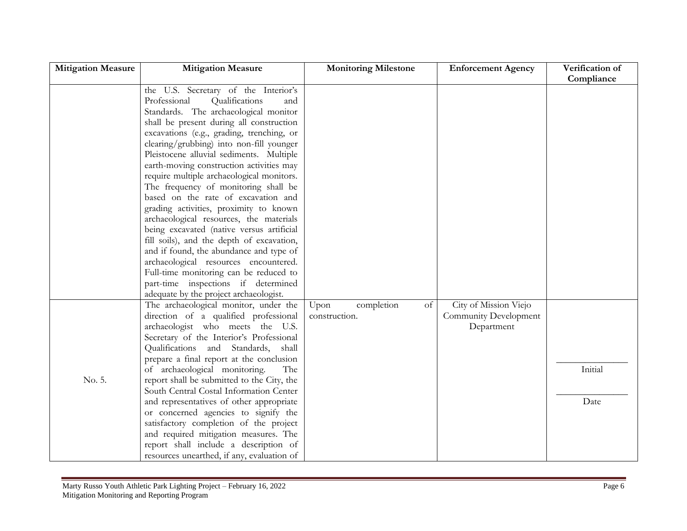| <b>Mitigation Measure</b> | <b>Mitigation Measure</b>                  | <b>Monitoring Milestone</b> | <b>Enforcement Agency</b> | Verification of |
|---------------------------|--------------------------------------------|-----------------------------|---------------------------|-----------------|
|                           |                                            |                             |                           | Compliance      |
|                           | the U.S. Secretary of the Interior's       |                             |                           |                 |
|                           | Professional<br>Qualifications<br>and      |                             |                           |                 |
|                           | Standards. The archaeological monitor      |                             |                           |                 |
|                           | shall be present during all construction   |                             |                           |                 |
|                           | excavations (e.g., grading, trenching, or  |                             |                           |                 |
|                           | clearing/grubbing) into non-fill younger   |                             |                           |                 |
|                           | Pleistocene alluvial sediments. Multiple   |                             |                           |                 |
|                           | earth-moving construction activities may   |                             |                           |                 |
|                           | require multiple archaeological monitors.  |                             |                           |                 |
|                           | The frequency of monitoring shall be       |                             |                           |                 |
|                           | based on the rate of excavation and        |                             |                           |                 |
|                           | grading activities, proximity to known     |                             |                           |                 |
|                           | archaeological resources, the materials    |                             |                           |                 |
|                           | being excavated (native versus artificial  |                             |                           |                 |
|                           | fill soils), and the depth of excavation,  |                             |                           |                 |
|                           | and if found, the abundance and type of    |                             |                           |                 |
|                           | archaeological resources encountered.      |                             |                           |                 |
|                           | Full-time monitoring can be reduced to     |                             |                           |                 |
|                           | part-time inspections if determined        |                             |                           |                 |
|                           | adequate by the project archaeologist.     |                             |                           |                 |
|                           | The archaeological monitor, under the      | completion<br>of<br>Upon    | City of Mission Viejo     |                 |
|                           | direction of a qualified professional      | construction.               | Community Development     |                 |
|                           | archaeologist who meets the U.S.           |                             | Department                |                 |
|                           | Secretary of the Interior's Professional   |                             |                           |                 |
|                           | Qualifications and Standards, shall        |                             |                           |                 |
|                           | prepare a final report at the conclusion   |                             |                           |                 |
|                           | of archaeological monitoring.<br>The       |                             |                           | Initial         |
| No. 5.                    | report shall be submitted to the City, the |                             |                           |                 |
|                           | South Central Costal Information Center    |                             |                           |                 |
|                           | and representatives of other appropriate   |                             |                           | Date            |
|                           | or concerned agencies to signify the       |                             |                           |                 |
|                           | satisfactory completion of the project     |                             |                           |                 |
|                           | and required mitigation measures. The      |                             |                           |                 |
|                           | report shall include a description of      |                             |                           |                 |
|                           | resources unearthed, if any, evaluation of |                             |                           |                 |